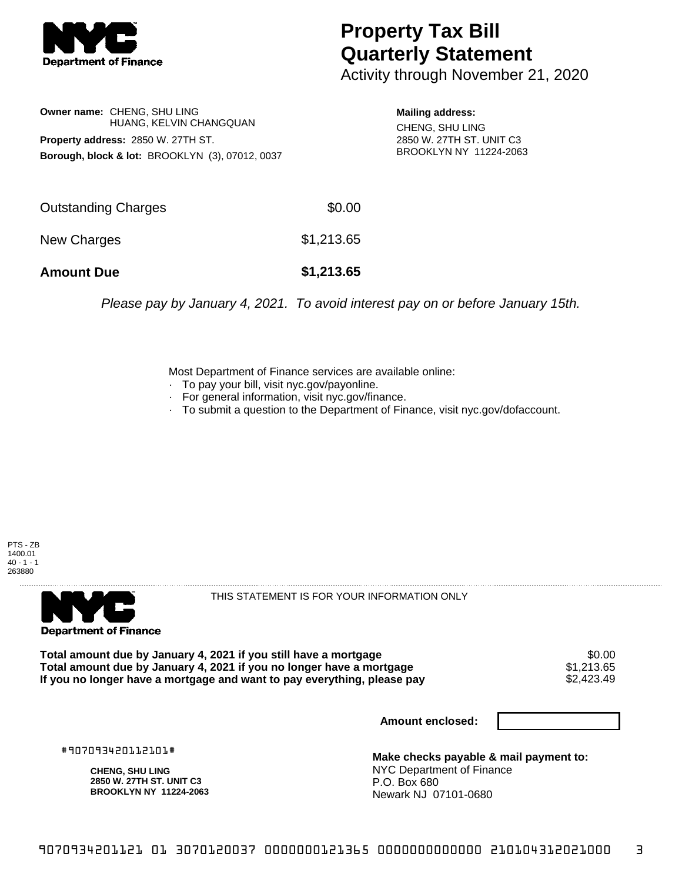

## **Property Tax Bill Quarterly Statement**

Activity through November 21, 2020

**Owner name:** CHENG, SHU LING HUANG, KELVIN CHANGQUAN **Property address:** 2850 W. 27TH ST. **Borough, block & lot:** BROOKLYN (3), 07012, 0037

**Mailing address:** CHENG, SHU LING 2850 W. 27TH ST. UNIT C3 BROOKLYN NY 11224-2063

| <b>Amount Due</b>   | \$1,213.65 |
|---------------------|------------|
| New Charges         | \$1,213.65 |
| Outstanding Charges | \$0.00     |

Please pay by January 4, 2021. To avoid interest pay on or before January 15th.

Most Department of Finance services are available online:

- · To pay your bill, visit nyc.gov/payonline.
- For general information, visit nyc.gov/finance.
- · To submit a question to the Department of Finance, visit nyc.gov/dofaccount.





THIS STATEMENT IS FOR YOUR INFORMATION ONLY

Total amount due by January 4, 2021 if you still have a mortgage \$0.00<br>Total amount due by January 4, 2021 if you no longer have a mortgage \$1.213.65 **Total amount due by January 4, 2021 if you no longer have a mortgage**  $$1,213.65$ **<br>If you no longer have a mortgage and want to pay everything, please pay**  $$2,423.49$ If you no longer have a mortgage and want to pay everything, please pay

**Amount enclosed:**

#907093420112101#

**CHENG, SHU LING 2850 W. 27TH ST. UNIT C3 BROOKLYN NY 11224-2063**

**Make checks payable & mail payment to:** NYC Department of Finance P.O. Box 680 Newark NJ 07101-0680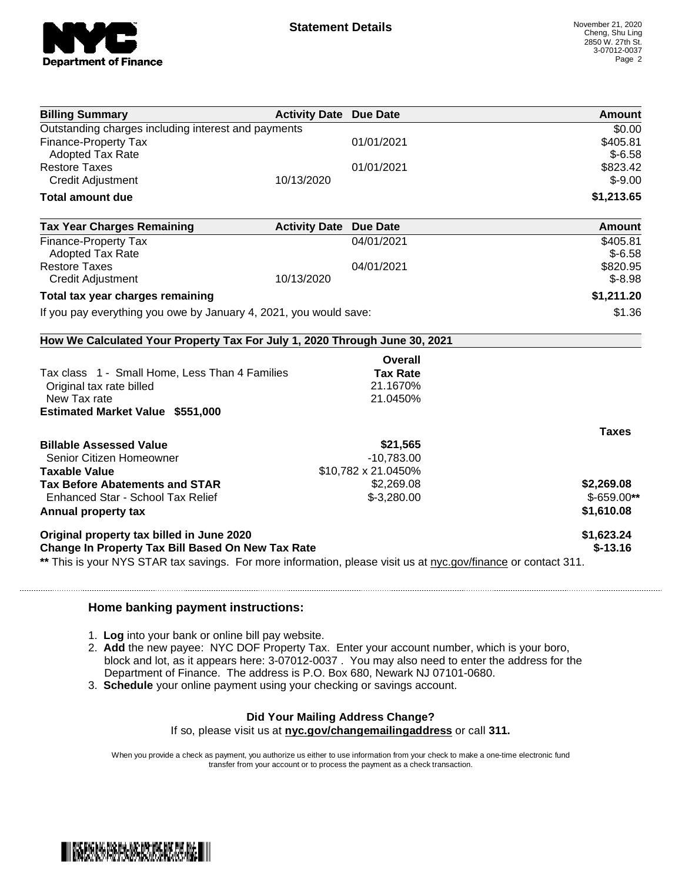

| 01/01/2021<br>01/01/2021<br><b>Activity Date Due Date</b><br>04/01/2021<br>04/01/2021 | \$0.00<br>\$405.81<br>$$-6.58$<br>\$823.42<br>$$-9.00$<br>\$1,213.65<br>Amount<br>\$405.81<br>$$-6.58$<br>\$820.95<br>$$-8.98$               |
|---------------------------------------------------------------------------------------|----------------------------------------------------------------------------------------------------------------------------------------------|
|                                                                                       |                                                                                                                                              |
|                                                                                       |                                                                                                                                              |
|                                                                                       |                                                                                                                                              |
|                                                                                       |                                                                                                                                              |
|                                                                                       |                                                                                                                                              |
|                                                                                       |                                                                                                                                              |
|                                                                                       |                                                                                                                                              |
|                                                                                       |                                                                                                                                              |
|                                                                                       |                                                                                                                                              |
|                                                                                       |                                                                                                                                              |
|                                                                                       |                                                                                                                                              |
|                                                                                       | \$1,211.20                                                                                                                                   |
| If you pay everything you owe by January 4, 2021, you would save:                     | \$1.36                                                                                                                                       |
| How We Calculated Your Property Tax For July 1, 2020 Through June 30, 2021            |                                                                                                                                              |
| Overall                                                                               |                                                                                                                                              |
| <b>Tax Rate</b>                                                                       |                                                                                                                                              |
| 21.1670%                                                                              |                                                                                                                                              |
| 21.0450%                                                                              |                                                                                                                                              |
|                                                                                       |                                                                                                                                              |
|                                                                                       | <b>Taxes</b>                                                                                                                                 |
| \$21,565                                                                              |                                                                                                                                              |
| $-10,783.00$                                                                          |                                                                                                                                              |
| \$10,782 x 21.0450%                                                                   |                                                                                                                                              |
|                                                                                       | \$2,269.08                                                                                                                                   |
|                                                                                       | $$-659.00**$                                                                                                                                 |
|                                                                                       | \$1,610.08                                                                                                                                   |
|                                                                                       | \$1,623.24                                                                                                                                   |
|                                                                                       | $$-13.16$                                                                                                                                    |
|                                                                                       | \$2,269.08<br>$$-3,280.00$<br>** This is your NYS STAR tax savings. For more information, please visit us at nyc.gov/finance or contact 311. |

## **Home banking payment instructions:**

- 1. **Log** into your bank or online bill pay website.
- 2. **Add** the new payee: NYC DOF Property Tax. Enter your account number, which is your boro, block and lot, as it appears here: 3-07012-0037 . You may also need to enter the address for the Department of Finance. The address is P.O. Box 680, Newark NJ 07101-0680.
- 3. **Schedule** your online payment using your checking or savings account.

## **Did Your Mailing Address Change?**

If so, please visit us at **nyc.gov/changemailingaddress** or call **311.**

When you provide a check as payment, you authorize us either to use information from your check to make a one-time electronic fund transfer from your account or to process the payment as a check transaction.